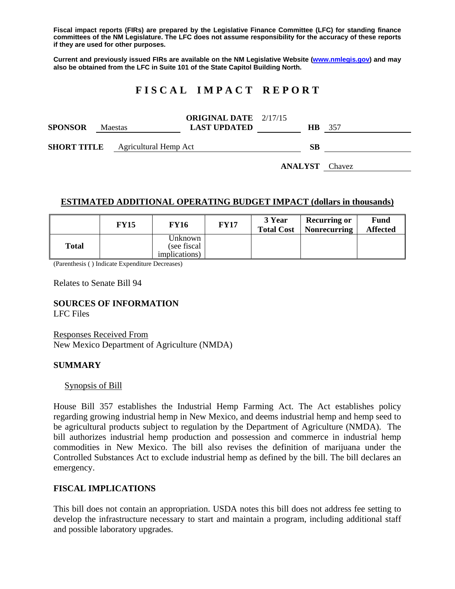**Fiscal impact reports (FIRs) are prepared by the Legislative Finance Committee (LFC) for standing finance committees of the NM Legislature. The LFC does not assume responsibility for the accuracy of these reports if they are used for other purposes.** 

**Current and previously issued FIRs are available on the NM Legislative Website (www.nmlegis.gov) and may also be obtained from the LFC in Suite 101 of the State Capitol Building North.** 

# **F I S C A L I M P A C T R E P O R T**

| <b>SPONSOR</b>                           | <b>Maestas</b> |  | <b>ORIGINAL DATE</b> 2/17/15<br><b>LAST UPDATED</b> | <b>HB</b> 357 |  |
|------------------------------------------|----------------|--|-----------------------------------------------------|---------------|--|
| <b>SHORT TITLE</b> Agricultural Hemp Act |                |  |                                                     | SВ            |  |

**ANALYST** Chavez

## **ESTIMATED ADDITIONAL OPERATING BUDGET IMPACT (dollars in thousands)**

|       | <b>FY15</b> | <b>FY16</b>                                      | <b>FY17</b> | 3 Year<br><b>Total Cost</b> | <b>Recurring or</b><br>  Nonrecurring | <b>Fund</b><br><b>Affected</b> |
|-------|-------------|--------------------------------------------------|-------------|-----------------------------|---------------------------------------|--------------------------------|
| Total |             | Unknown<br>(see fiscal)<br><i>implications</i> ) |             |                             |                                       |                                |

(Parenthesis ( ) Indicate Expenditure Decreases)

Relates to Senate Bill 94

**SOURCES OF INFORMATION** 

LFC Files

Responses Received From New Mexico Department of Agriculture (NMDA)

#### **SUMMARY**

Synopsis of Bill

House Bill 357 establishes the Industrial Hemp Farming Act. The Act establishes policy regarding growing industrial hemp in New Mexico, and deems industrial hemp and hemp seed to be agricultural products subject to regulation by the Department of Agriculture (NMDA). The bill authorizes industrial hemp production and possession and commerce in industrial hemp commodities in New Mexico. The bill also revises the definition of marijuana under the Controlled Substances Act to exclude industrial hemp as defined by the bill. The bill declares an emergency.

#### **FISCAL IMPLICATIONS**

This bill does not contain an appropriation. USDA notes this bill does not address fee setting to develop the infrastructure necessary to start and maintain a program, including additional staff and possible laboratory upgrades.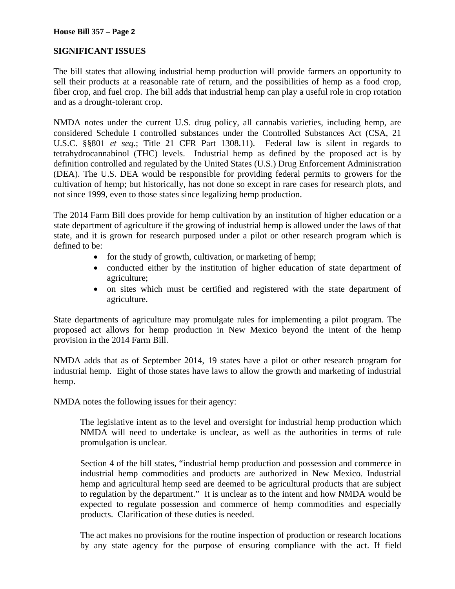# **SIGNIFICANT ISSUES**

The bill states that allowing industrial hemp production will provide farmers an opportunity to sell their products at a reasonable rate of return, and the possibilities of hemp as a food crop, fiber crop, and fuel crop. The bill adds that industrial hemp can play a useful role in crop rotation and as a drought-tolerant crop.

NMDA notes under the current U.S. drug policy, all cannabis varieties, including hemp, are considered Schedule I controlled substances under the Controlled Substances Act (CSA, 21 U.S.C. §§801 *et seq*.; Title 21 CFR Part 1308.11). Federal law is silent in regards to tetrahydrocannabinol (THC) levels. Industrial hemp as defined by the proposed act is by definition controlled and regulated by the United States (U.S.) Drug Enforcement Administration (DEA). The U.S. DEA would be responsible for providing federal permits to growers for the cultivation of hemp; but historically, has not done so except in rare cases for research plots, and not since 1999, even to those states since legalizing hemp production.

The 2014 Farm Bill does provide for hemp cultivation by an institution of higher education or a state department of agriculture if the growing of industrial hemp is allowed under the laws of that state, and it is grown for research purposed under a pilot or other research program which is defined to be:

- for the study of growth, cultivation, or marketing of hemp;
- conducted either by the institution of higher education of state department of agriculture;
- on sites which must be certified and registered with the state department of agriculture.

State departments of agriculture may promulgate rules for implementing a pilot program. The proposed act allows for hemp production in New Mexico beyond the intent of the hemp provision in the 2014 Farm Bill.

NMDA adds that as of September 2014, 19 states have a pilot or other research program for industrial hemp. Eight of those states have laws to allow the growth and marketing of industrial hemp.

NMDA notes the following issues for their agency:

The legislative intent as to the level and oversight for industrial hemp production which NMDA will need to undertake is unclear, as well as the authorities in terms of rule promulgation is unclear.

Section 4 of the bill states, "industrial hemp production and possession and commerce in industrial hemp commodities and products are authorized in New Mexico. Industrial hemp and agricultural hemp seed are deemed to be agricultural products that are subject to regulation by the department." It is unclear as to the intent and how NMDA would be expected to regulate possession and commerce of hemp commodities and especially products. Clarification of these duties is needed.

The act makes no provisions for the routine inspection of production or research locations by any state agency for the purpose of ensuring compliance with the act. If field